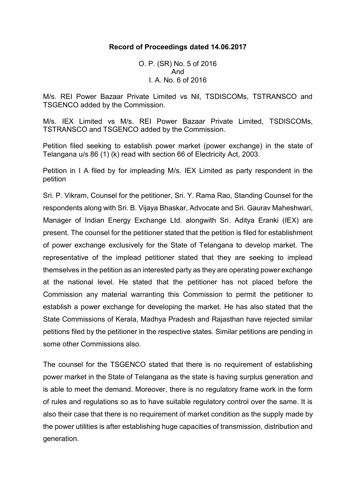### **Record of Proceedings dated 14.06.2017**

O. P. (SR) No. 5 of 2016 And I. A. No. 6 of 2016

M/s. REI Power Bazaar Private Limited vs Nil, TSDISCOMs, TSTRANSCO and TSGENCO added by the Commission.

M/s. IEX Limited vs M/s. REI Power Bazaar Private Limited, TSDISCOMs, TSTRANSCO and TSGENCO added by the Commission.

Petition filed seeking to establish power market (power exchange) in the state of Telangana u/s 86 (1) (k) read with section 66 of Electricity Act, 2003.

Petition in I A filed by for impleading M/s. IEX Limited as party respondent in the petition

Sri. P. Vikram, Counsel for the petitioner, Sri. Y. Rama Rao, Standing Counsel for the respondents along with Sri. B. Vijaya Bhaskar, Advocate and Sri. Gaurav Maheshwari, Manager of Indian Energy Exchange Ltd. alongwith Sri. Aditya Eranki (IEX) are present. The counsel for the petitioner stated that the petition is filed for establishment of power exchange exclusively for the State of Telangana to develop market. The representative of the implead petitioner stated that they are seeking to implead themselves in the petition as an interested party as they are operating power exchange at the national level. He stated that the petitioner has not placed before the Commission any material warranting this Commission to permit the petitioner to establish a power exchange for developing the market. He has also stated that the State Commissions of Kerala, Madhya Pradesh and Rajasthan have rejected similar petitions filed by the petitioner in the respective states. Similar petitions are pending in some other Commissions also.

The counsel for the TSGENCO stated that there is no requirement of establishing power market in the State of Telangana as the state is having surplus generation and is able to meet the demand. Moreover, there is no regulatory frame work in the form of rules and regulations so as to have suitable regulatory control over the same. It is also their case that there is no requirement of market condition as the supply made by the power utilities is after establishing huge capacities of transmission, distribution and generation.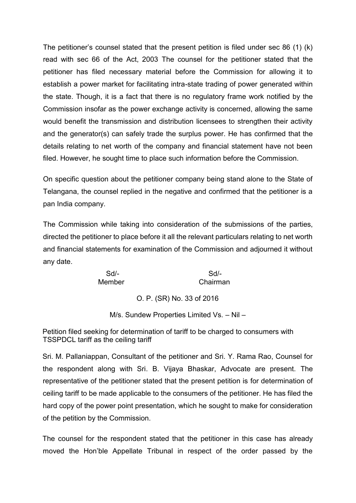The petitioner's counsel stated that the present petition is filed under sec 86 (1) (k) read with sec 66 of the Act, 2003 The counsel for the petitioner stated that the petitioner has filed necessary material before the Commission for allowing it to establish a power market for facilitating intra-state trading of power generated within the state. Though, it is a fact that there is no regulatory frame work notified by the Commission insofar as the power exchange activity is concerned, allowing the same would benefit the transmission and distribution licensees to strengthen their activity and the generator(s) can safely trade the surplus power. He has confirmed that the details relating to net worth of the company and financial statement have not been filed. However, he sought time to place such information before the Commission.

On specific question about the petitioner company being stand alone to the State of Telangana, the counsel replied in the negative and confirmed that the petitioner is a pan India company.

The Commission while taking into consideration of the submissions of the parties, directed the petitioner to place before it all the relevant particulars relating to net worth and financial statements for examination of the Commission and adjourned it without any date.

Sd/- Sd/- Member Chairman

O. P. (SR) No. 33 of 2016

M/s. Sundew Properties Limited Vs. – Nil –

Petition filed seeking for determination of tariff to be charged to consumers with TSSPDCL tariff as the ceiling tariff

Sri. M. Pallaniappan, Consultant of the petitioner and Sri. Y. Rama Rao, Counsel for the respondent along with Sri. B. Vijaya Bhaskar, Advocate are present. The representative of the petitioner stated that the present petition is for determination of ceiling tariff to be made applicable to the consumers of the petitioner. He has filed the hard copy of the power point presentation, which he sought to make for consideration of the petition by the Commission.

The counsel for the respondent stated that the petitioner in this case has already moved the Hon'ble Appellate Tribunal in respect of the order passed by the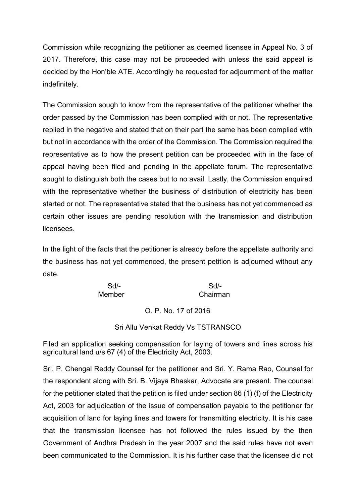Commission while recognizing the petitioner as deemed licensee in Appeal No. 3 of 2017. Therefore, this case may not be proceeded with unless the said appeal is decided by the Hon'ble ATE. Accordingly he requested for adjournment of the matter indefinitely.

The Commission sough to know from the representative of the petitioner whether the order passed by the Commission has been complied with or not. The representative replied in the negative and stated that on their part the same has been complied with but not in accordance with the order of the Commission. The Commission required the representative as to how the present petition can be proceeded with in the face of appeal having been filed and pending in the appellate forum. The representative sought to distinguish both the cases but to no avail. Lastly, the Commission enquired with the representative whether the business of distribution of electricity has been started or not. The representative stated that the business has not yet commenced as certain other issues are pending resolution with the transmission and distribution licensees.

In the light of the facts that the petitioner is already before the appellate authority and the business has not yet commenced, the present petition is adjourned without any date.

| Sd     | Sd       |
|--------|----------|
| Member | Chairman |

# O. P. No. 17 of 2016

### Sri Allu Venkat Reddy Vs TSTRANSCO

Filed an application seeking compensation for laying of towers and lines across his agricultural land u/s 67 (4) of the Electricity Act, 2003.

Sri. P. Chengal Reddy Counsel for the petitioner and Sri. Y. Rama Rao, Counsel for the respondent along with Sri. B. Vijaya Bhaskar, Advocate are present. The counsel for the petitioner stated that the petition is filed under section 86 (1) (f) of the Electricity Act, 2003 for adjudication of the issue of compensation payable to the petitioner for acquisition of land for laying lines and towers for transmitting electricity. It is his case that the transmission licensee has not followed the rules issued by the then Government of Andhra Pradesh in the year 2007 and the said rules have not even been communicated to the Commission. It is his further case that the licensee did not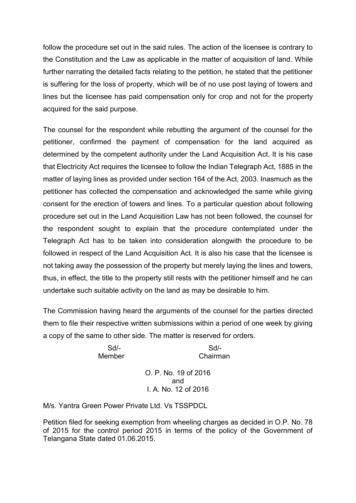follow the procedure set out in the said rules. The action of the licensee is contrary to the Constitution and the Law as applicable in the matter of acquisition of land. While further narrating the detailed facts relating to the petition, he stated that the petitioner is suffering for the loss of property, which will be of no use post laying of towers and lines but the licensee has paid compensation only for crop and not for the property acquired for the said purpose.

The counsel for the respondent while rebutting the argument of the counsel for the petitioner, confirmed the payment of compensation for the land acquired as determined by the competent authority under the Land Acquisition Act. It is his case that Electricity Act requires the licensee to follow the Indian Telegraph Act, 1885 in the matter of laying lines as provided under section 164 of the Act, 2003. Inasmuch as the petitioner has collected the compensation and acknowledged the same while giving consent for the erection of towers and lines. To a particular question about following procedure set out in the Land Acquisition Law has not been followed, the counsel for the respondent sought to explain that the procedure contemplated under the Telegraph Act has to be taken into consideration alongwith the procedure to be followed in respect of the Land Acquisition Act. It is also his case that the licensee is not taking away the possession of the property but merely laying the lines and towers, thus, in effect, the title to the property still rests with the petitioner himself and he can undertake such suitable activity on the land as may be desirable to him.

The Commission having heard the arguments of the counsel for the parties directed them to file their respective written submissions within a period of one week by giving a copy of the same to other side. The matter is reserved for orders.

Sd/- Sd/- Member Chairman

> O. P. No. 19 of 2016 and I. A. No. 12 of 2016

M/s. Yantra Green Power Private Ltd. Vs TSSPDCL

Petition filed for seeking exemption from wheeling charges as decided in O.P. No. 78 of 2015 for the control period 2015 in terms of the policy of the Government of Telangana State dated 01.06.2015.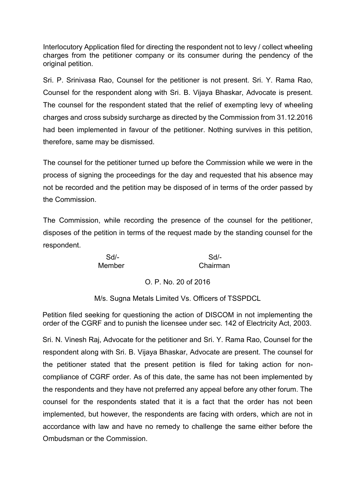Interlocutory Application filed for directing the respondent not to levy / collect wheeling charges from the petitioner company or its consumer during the pendency of the original petition.

Sri. P. Srinivasa Rao, Counsel for the petitioner is not present. Sri. Y. Rama Rao, Counsel for the respondent along with Sri. B. Vijaya Bhaskar, Advocate is present. The counsel for the respondent stated that the relief of exempting levy of wheeling charges and cross subsidy surcharge as directed by the Commission from 31.12.2016 had been implemented in favour of the petitioner. Nothing survives in this petition, therefore, same may be dismissed.

The counsel for the petitioner turned up before the Commission while we were in the process of signing the proceedings for the day and requested that his absence may not be recorded and the petition may be disposed of in terms of the order passed by the Commission.

The Commission, while recording the presence of the counsel for the petitioner, disposes of the petition in terms of the request made by the standing counsel for the respondent.

Sd/- Sd/- Member Chairman

# O. P. No. 20 of 2016

M/s. Sugna Metals Limited Vs. Officers of TSSPDCL

Petition filed seeking for questioning the action of DISCOM in not implementing the order of the CGRF and to punish the licensee under sec. 142 of Electricity Act, 2003.

Sri. N. Vinesh Raj, Advocate for the petitioner and Sri. Y. Rama Rao, Counsel for the respondent along with Sri. B. Vijaya Bhaskar, Advocate are present. The counsel for the petitioner stated that the present petition is filed for taking action for non compliance of CGRF order. As of this date, the same has not been implemented by the respondents and they have not preferred any appeal before any other forum. The counsel for the respondents stated that it is a fact that the order has not been implemented, but however, the respondents are facing with orders, which are not in accordance with law and have no remedy to challenge the same either before the Ombudsman or the Commission.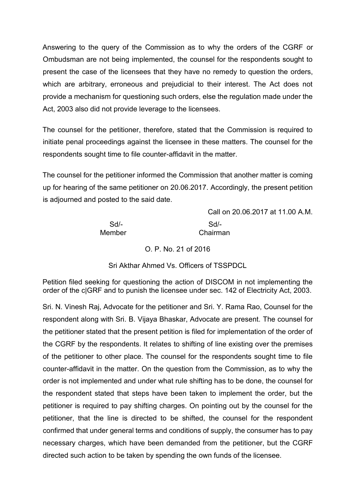Answering to the query of the Commission as to why the orders of the CGRF or Ombudsman are not being implemented, the counsel for the respondents sought to present the case of the licensees that they have no remedy to question the orders, which are arbitrary, erroneous and prejudicial to their interest. The Act does not provide a mechanism for questioning such orders, else the regulation made under the Act, 2003 also did not provide leverage to the licensees.

The counsel for the petitioner, therefore, stated that the Commission is required to initiate penal proceedings against the licensee in these matters. The counsel for the respondents sought time to file counter-affidavit in the matter.

The counsel for the petitioner informed the Commission that another matter is coming up for hearing of the same petitioner on 20.06.2017. Accordingly, the present petition is adjourned and posted to the said date.

> Call on 20.06.2017 at 11.00 A.M. Sd/- Sd/- Member Chairman

> > O. P. No. 21 of 2016

Sri Akthar Ahmed Vs. Officers of TSSPDCL

Petition filed seeking for questioning the action of DISCOM in not implementing the order of the c|GRF and to punish the licensee under sec. 142 of Electricity Act, 2003.

Sri. N. Vinesh Raj, Advocate for the petitioner and Sri. Y. Rama Rao, Counsel for the respondent along with Sri. B. Vijaya Bhaskar, Advocate are present. The counsel for the petitioner stated that the present petition is filed for implementation of the order of the CGRF by the respondents. It relates to shifting of line existing over the premises of the petitioner to other place. The counsel for the respondents sought time to file counter-affidavit in the matter. On the question from the Commission, as to why the order is not implemented and under what rule shifting has to be done, the counsel for the respondent stated that steps have been taken to implement the order, but the petitioner is required to pay shifting charges. On pointing out by the counsel for the petitioner, that the line is directed to be shifted, the counsel for the respondent confirmed that under general terms and conditions of supply, the consumer has to pay necessary charges, which have been demanded from the petitioner, but the CGRF directed such action to be taken by spending the own funds of the licensee.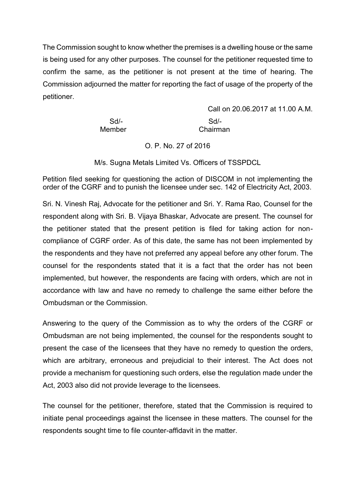The Commission sought to know whether the premises is a dwelling house or the same is being used for any other purposes. The counsel for the petitioner requested time to confirm the same, as the petitioner is not present at the time of hearing. The Commission adjourned the matter for reporting the fact of usage of the property of the petitioner.

> Call on 20.06.2017 at 11.00 A.M. Sd/- Sd/- Member Chairman

> > O. P. No. 27 of 2016

M/s. Sugna Metals Limited Vs. Officers of TSSPDCL

Petition filed seeking for questioning the action of DISCOM in not implementing the order of the CGRF and to punish the licensee under sec. 142 of Electricity Act, 2003.

Sri. N. Vinesh Raj, Advocate for the petitioner and Sri. Y. Rama Rao, Counsel for the respondent along with Sri. B. Vijaya Bhaskar, Advocate are present. The counsel for the petitioner stated that the present petition is filed for taking action for non compliance of CGRF order. As of this date, the same has not been implemented by the respondents and they have not preferred any appeal before any other forum. The counsel for the respondents stated that it is a fact that the order has not been implemented, but however, the respondents are facing with orders, which are not in accordance with law and have no remedy to challenge the same either before the Ombudsman or the Commission.

Answering to the query of the Commission as to why the orders of the CGRF or Ombudsman are not being implemented, the counsel for the respondents sought to present the case of the licensees that they have no remedy to question the orders, which are arbitrary, erroneous and prejudicial to their interest. The Act does not provide a mechanism for questioning such orders, else the regulation made under the Act, 2003 also did not provide leverage to the licensees.

The counsel for the petitioner, therefore, stated that the Commission is required to initiate penal proceedings against the licensee in these matters. The counsel for the respondents sought time to file counter-affidavit in the matter.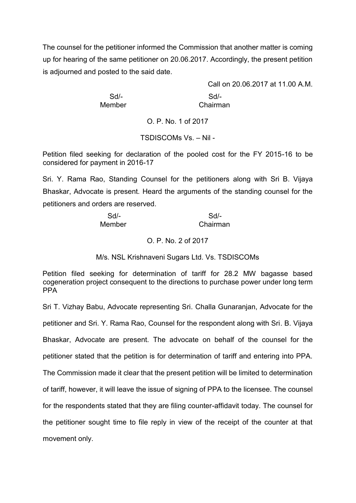The counsel for the petitioner informed the Commission that another matter is coming up for hearing of the same petitioner on 20.06.2017. Accordingly, the present petition is adjourned and posted to the said date.

Member Chairman

Call on 20.06.2017 at 11.00 A.M. Sd/- Sd/-

O. P. No. 1 of 2017

TSDISCOMs Vs. – Nil -

Petition filed seeking for declaration of the pooled cost for the FY 2015-16 to be considered for payment in 2016-17

Sri. Y. Rama Rao, Standing Counsel for the petitioners along with Sri B. Vijaya Bhaskar, Advocate is present. Heard the arguments of the standing counsel for the petitioners and orders are reserved.

| $Sd$ - | Sd       |
|--------|----------|
| Member | Chairman |

#### O. P. No. 2 of 2017

M/s. NSL Krishnaveni Sugars Ltd. Vs. TSDISCOMs

Petition filed seeking for determination of tariff for 28.2 MW bagasse based cogeneration project consequent to the directions to purchase power under long term PPA

Sri T. Vizhay Babu, Advocate representing Sri. Challa Gunaranjan, Advocate for the petitioner and Sri. Y. Rama Rao, Counsel for the respondent along with Sri. B. Vijaya Bhaskar, Advocate are present. The advocate on behalf of the counsel for the petitioner stated that the petition is for determination of tariff and entering into PPA. The Commission made it clear that the present petition will be limited to determination of tariff, however, it will leave the issue of signing of PPA to the licensee. The counsel for the respondents stated that they are filing counter-affidavit today. The counsel for the petitioner sought time to file reply in view of the receipt of the counter at that movement only.